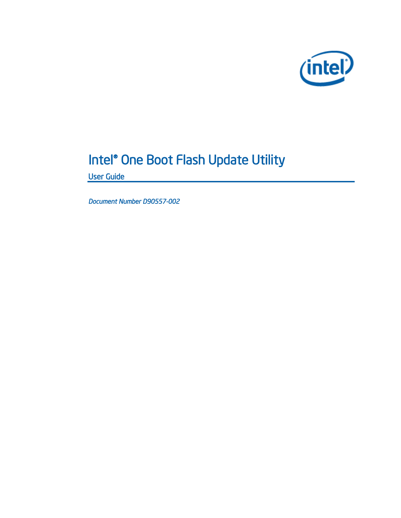

# Intel® One Boot Flash Update Utility

User Guide

*Document Number D90557-002*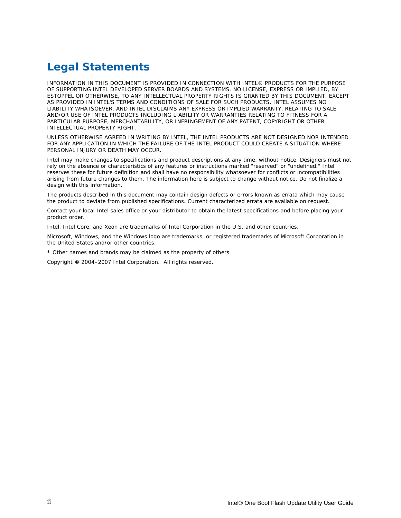### **Legal Statements**

INFORMATION IN THIS DOCUMENT IS PROVIDED IN CONNECTION WITH INTEL® PRODUCTS FOR THE PURPOSE OF SUPPORTING INTEL DEVELOPED SERVER BOARDS AND SYSTEMS. NO LICENSE, EXPRESS OR IMPLIED, BY ESTOPPEL OR OTHERWISE, TO ANY INTELLECTUAL PROPERTY RIGHTS IS GRANTED BY THIS DOCUMENT. EXCEPT AS PROVIDED IN INTEL'S TERMS AND CONDITIONS OF SALE FOR SUCH PRODUCTS, INTEL ASSUMES NO LIABILITY WHATSOEVER, AND INTEL DISCLAIMS ANY EXPRESS OR IMPLIED WARRANTY, RELATING TO SALE AND/OR USE OF INTEL PRODUCTS INCLUDING LIABILITY OR WARRANTIES RELATING TO FITNESS FOR A PARTICULAR PURPOSE, MERCHANTABILITY, OR INFRINGEMENT OF ANY PATENT, COPYRIGHT OR OTHER INTELLECTUAL PROPERTY RIGHT.

UNLESS OTHERWISE AGREED IN WRITING BY INTEL, THE INTEL PRODUCTS ARE NOT DESIGNED NOR INTENDED FOR ANY APPLICATION IN WHICH THE FAILURE OF THE INTEL PRODUCT COULD CREATE A SITUATION WHERE PERSONAL INJURY OR DEATH MAY OCCUR.

Intel may make changes to specifications and product descriptions at any time, without notice. Designers must not rely on the absence or characteristics of any features or instructions marked "reserved" or "undefined." Intel reserves these for future definition and shall have no responsibility whatsoever for conflicts or incompatibilities arising from future changes to them. The information here is subject to change without notice. Do not finalize a design with this information.

The products described in this document may contain design defects or errors known as errata which may cause the product to deviate from published specifications. Current characterized errata are available on request.

Contact your local Intel sales office or your distributor to obtain the latest specifications and before placing your product order.

Intel, Intel Core, and Xeon are trademarks of Intel Corporation in the U.S. and other countries.

Microsoft, Windows, and the Windows logo are trademarks, or registered trademarks of Microsoft Corporation in the United States and/or other countries.

**\*** Other names and brands may be claimed as the property of others.

Copyright **©** 2004–2007 Intel Corporation. All rights reserved.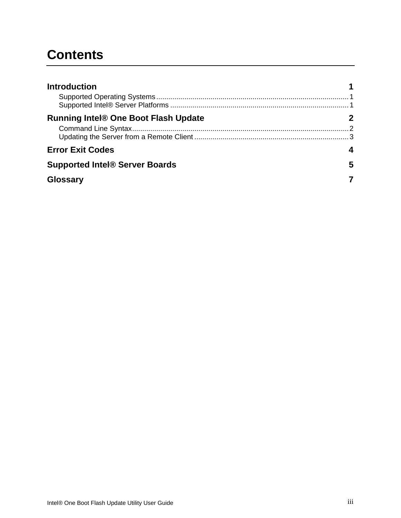## **Contents**

| <b>Introduction</b>                         |   |
|---------------------------------------------|---|
| <b>Running Intel® One Boot Flash Update</b> |   |
| <b>Error Exit Codes</b>                     |   |
| <b>Supported Intel® Server Boards</b>       | 5 |
| <b>Glossary</b>                             |   |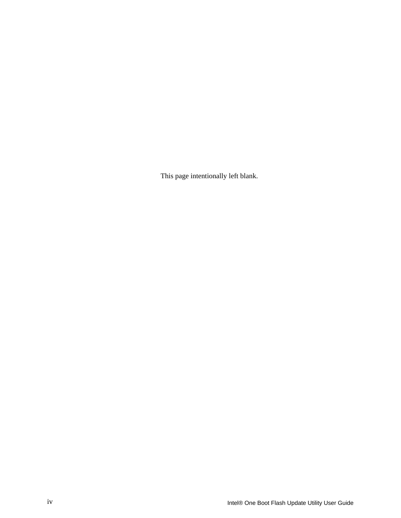This page intentionally left blank.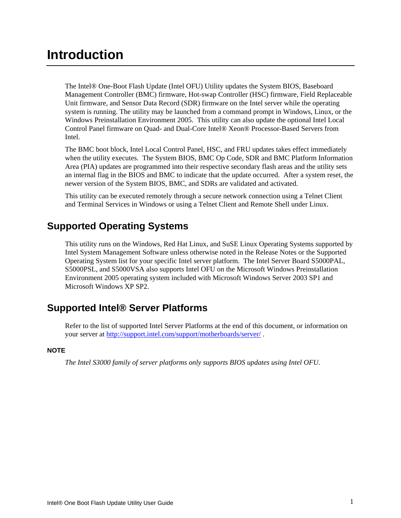### <span id="page-4-0"></span>**Introduction**

The Intel® One-Boot Flash Update (Intel OFU) Utility updates the System BIOS, Baseboard Management Controller (BMC) firmware, Hot-swap Controller (HSC) firmware, Field Replaceable Unit firmware, and Sensor Data Record (SDR) firmware on the Intel server while the operating system is running. The utility may be launched from a command prompt in Windows, Linux, or the Windows Preinstallation Environment 2005. This utility can also update the optional Intel Local Control Panel firmware on Quad- and Dual-Core Intel® Xeon® Processor-Based Servers from Intel.

The BMC boot block, Intel Local Control Panel, HSC, and FRU updates takes effect immediately when the utility executes. The System BIOS, BMC Op Code, SDR and BMC Platform Information Area (PIA) updates are programmed into their respective secondary flash areas and the utility sets an internal flag in the BIOS and BMC to indicate that the update occurred. After a system reset, the newer version of the System BIOS, BMC, and SDRs are validated and activated.

This utility can be executed remotely through a secure network connection using a Telnet Client and Terminal Services in Windows or using a Telnet Client and Remote Shell under Linux.

### **Supported Operating Systems**

This utility runs on the Windows, Red Hat Linux, and SuSE Linux Operating Systems supported by Intel System Management Software unless otherwise noted in the Release Notes or the Supported Operating System list for your specific Intel server platform. The Intel Server Board S5000PAL, S5000PSL, and S5000VSA also supports Intel OFU on the Microsoft Windows Preinstallation Environment 2005 operating system included with Microsoft Windows Server 2003 SP1 and Microsoft Windows XP SP2.

### **Supported Intel® Server Platforms**

Refer to the list of supported Intel Server Platforms at the end of this document, or information on your server at <http://support.intel.com/support/motherboards/server/>.

#### **NOTE**

*The Intel S3000 family of server platforms only supports BIOS updates using Intel OFU.*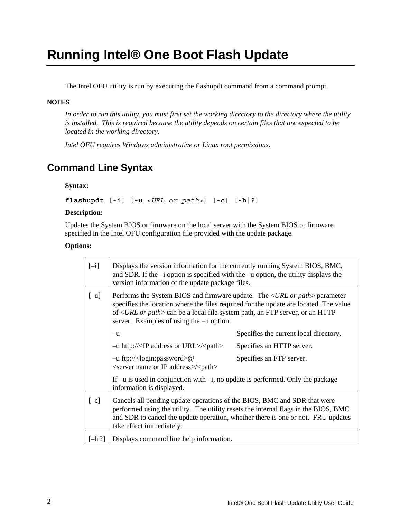## <span id="page-5-0"></span>**Running Intel® One Boot Flash Update**

The Intel OFU utility is run by executing the flashupdt command from a command prompt.

#### **NOTES**

*In order to run this utility, you must first set the working directory to the directory where the utility is installed. This is required because the utility depends on certain files that are expected to be located in the working directory.* 

*Intel OFU requires Windows administrative or Linux root permissions.* 

### **Command Line Syntax**

#### **Syntax:**

**flashupdt** [**-i**] [**-u** <*URL or path*>] [**-c**] [**-h**|**?**]

#### **Description:**

Updates the System BIOS or firmware on the local server with the System BIOS or firmware specified in the Intel OFU configuration file provided with the update package.

#### **Options:**

| $[-i]$ | Displays the version information for the currently running System BIOS, BMC,<br>and SDR. If the $-i$ option is specified with the $-i$ option, the utility displays the<br>version information of the update package files.                                                                                   |                                        |
|--------|---------------------------------------------------------------------------------------------------------------------------------------------------------------------------------------------------------------------------------------------------------------------------------------------------------------|----------------------------------------|
| $[-u]$ | Performs the System BIOS and firmware update. The < <i>URL</i> or path> parameter<br>specifies the location where the files required for the update are located. The value<br>of < <i>URL</i> or path> can be a local file system path, an FTP server, or an HTTP<br>server. Examples of using the -u option: |                                        |
|        | $-u$                                                                                                                                                                                                                                                                                                          | Specifies the current local directory. |
|        | $-u$ http:// $\langle I$ P address or URL $\rangle$ / $\langle$ path $\rangle$                                                                                                                                                                                                                                | Specifies an HTTP server.              |
|        | $-u$ ftp:// <login:password>@<br/><server address="" ip="" name="" or="">/<path></path></server></login:password>                                                                                                                                                                                             | Specifies an FTP server.               |
|        | If $-u$ is used in conjunction with $-i$ , no update is performed. Only the package<br>information is displayed.                                                                                                                                                                                              |                                        |
| $[-c]$ | Cancels all pending update operations of the BIOS, BMC and SDR that were<br>performed using the utility. The utility resets the internal flags in the BIOS, BMC<br>and SDR to cancel the update operation, whether there is one or not. FRU updates<br>take effect immediately.                               |                                        |
| $-h ?$ | Displays command line help information.                                                                                                                                                                                                                                                                       |                                        |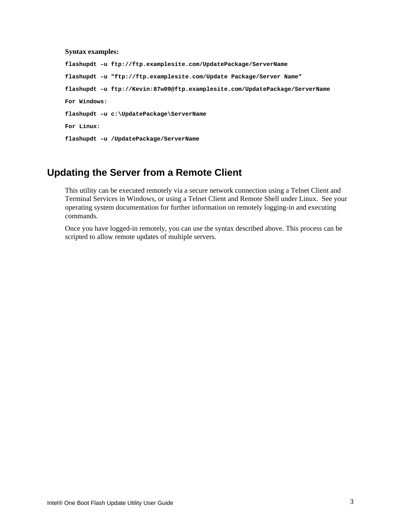#### <span id="page-6-0"></span>**Syntax examples:**

**flashupdt –u ftp://ftp.examplesite.com/UpdatePackage/ServerName flashupdt –u "ftp://ftp.examplesite.com/Update Package/Server Name" flashupdt –u ftp://Kevin:87w09@ftp.examplesite.com/UpdatePackage/ServerName For Windows: flashupdt –u c:\UpdatePackage\ServerName For Linux: flashupdt –u /UpdatePackage/ServerName** 

### **Updating the Server from a Remote Client**

This utility can be executed remotely via a secure network connection using a Telnet Client and Terminal Services in Windows, or using a Telnet Client and Remote Shell under Linux. See your operating system documentation for further information on remotely logging-in and executing commands.

Once you have logged-in remotely, you can use the syntax described above. This process can be scripted to allow remote updates of multiple servers.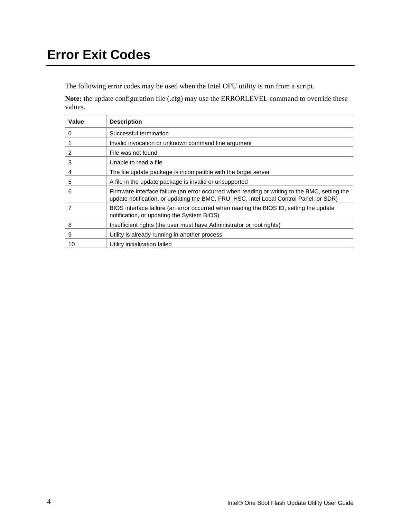## <span id="page-7-0"></span>**Error Exit Codes**

The following error codes may be used when the Intel OFU utility is run from a script.

**Note:** the update configuration file (.cfg) may use the ERRORLEVEL command to override these values.

| Value          | <b>Description</b>                                                                                                                                                                      |
|----------------|-----------------------------------------------------------------------------------------------------------------------------------------------------------------------------------------|
| 0              | Successful termination                                                                                                                                                                  |
|                | Invalid invocation or unknown command line argument                                                                                                                                     |
| $\overline{2}$ | File was not found                                                                                                                                                                      |
| 3              | Unable to read a file                                                                                                                                                                   |
| $\overline{4}$ | The file update package is incompatible with the target server                                                                                                                          |
| 5              | A file in the update package is invalid or unsupported                                                                                                                                  |
| 6              | Firmware interface failure (an error occurred when reading or writing to the BMC, setting the<br>update notification, or updating the BMC, FRU, HSC, Intel Local Control Panel, or SDR) |
|                | BIOS interface failure (an error occurred when reading the BIOS ID, setting the update<br>notification, or updating the System BIOS)                                                    |
| 8              | Insufficient rights (the user must have Administrator or root rights)                                                                                                                   |
| 9              | Utility is already running in another process                                                                                                                                           |
| 10             | Utility initialization failed                                                                                                                                                           |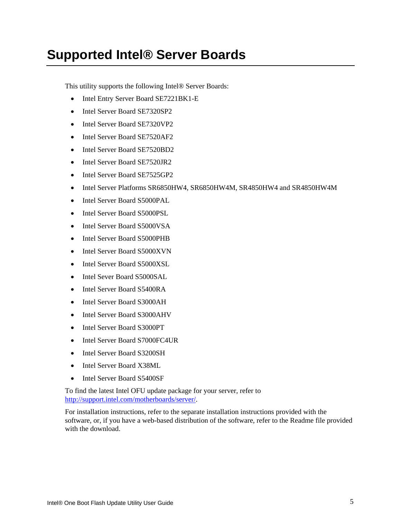## <span id="page-8-0"></span>**Supported Intel® Server Boards**

This utility supports the following Intel® Server Boards:

- Intel Entry Server Board SE7221BK1-E
- Intel Server Board SE7320SP2
- Intel Server Board SE7320VP2
- Intel Server Board SE7520AF2
- Intel Server Board SE7520BD2
- Intel Server Board SE7520JR2
- Intel Server Board SE7525GP2
- Intel Server Platforms SR6850HW4, SR6850HW4M, SR4850HW4 and SR4850HW4M
- Intel Server Board S5000PAL
- Intel Server Board S5000PSL
- Intel Server Board S5000VSA
- Intel Server Board S5000PHB
- Intel Server Board S5000XVN
- Intel Server Board S5000XSL
- Intel Sever Board S5000SAL
- Intel Server Board S5400RA
- Intel Server Board S3000AH
- Intel Server Board S3000AHV
- Intel Server Board S3000PT
- Intel Server Board S7000FC4UR
- Intel Server Board S3200SH
- Intel Server Board X38ML
- Intel Server Board S5400SF

To find the latest Intel OFU update package for your server, refer to <http://support.intel.com/motherboards/server/>.

For installation instructions, refer to the separate installation instructions provided with the software, or, if you have a web-based distribution of the software, refer to the Readme file provided with the download.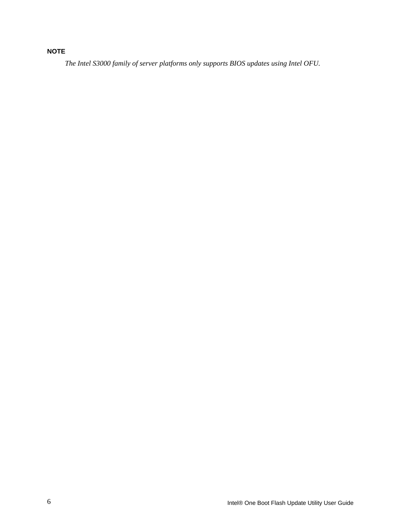#### **NOTE**

*The Intel S3000 family of server platforms only supports BIOS updates using Intel OFU.*